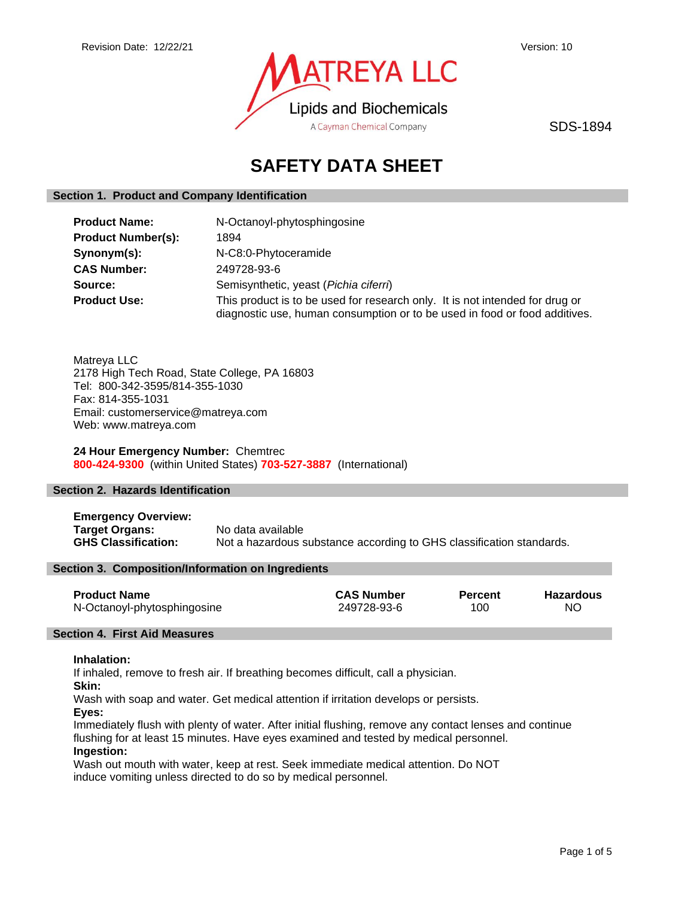

SDS-1894

# **SAFETY DATA SHEET**

# **Section 1. Product and Company Identification**

| <b>Product Name:</b>      | N-Octanoyl-phytosphingosine                                                                                                                                |  |
|---------------------------|------------------------------------------------------------------------------------------------------------------------------------------------------------|--|
| <b>Product Number(s):</b> | 1894                                                                                                                                                       |  |
| Synonym(s):               | N-C8:0-Phytoceramide                                                                                                                                       |  |
| <b>CAS Number:</b>        | 249728-93-6                                                                                                                                                |  |
| Source:                   | Semisynthetic, yeast (Pichia ciferri)                                                                                                                      |  |
| <b>Product Use:</b>       | This product is to be used for research only. It is not intended for drug or<br>diagnostic use, human consumption or to be used in food or food additives. |  |

Matreya LLC 2178 High Tech Road, State College, PA 16803 Tel: 800-342-3595/814-355-1030 Fax: 814-355-1031 Email: customerservice@matreya.com Web: www.matreya.com

# **24 Hour Emergency Number:** Chemtrec **800-424-9300** (within United States) **703-527-3887** (International)

# **Section 2. Hazards Identification**

**Emergency Overview: Target Organs:** No data available **GHS Classification:** Not a hazardous substance according to GHS classification standards.

#### **Section 3. Composition/Information on Ingredients**

| <b>Product Name</b>         | <b>CAS Number</b> | <b>Percent</b> | <b>Hazardous</b> |
|-----------------------------|-------------------|----------------|------------------|
| N-Octanoyl-phytosphingosine | 249728-93-6       | 100            | ΝO               |

# **Section 4. First Aid Measures**

#### **Inhalation:**

If inhaled, remove to fresh air. If breathing becomes difficult, call a physician.

**Skin:**

Wash with soap and water. Get medical attention if irritation develops or persists.

**Eyes:**

Immediately flush with plenty of water. After initial flushing, remove any contact lenses and continue flushing for at least 15 minutes. Have eyes examined and tested by medical personnel. **Ingestion:**

Wash out mouth with water, keep at rest. Seek immediate medical attention. Do NOT induce vomiting unless directed to do so by medical personnel.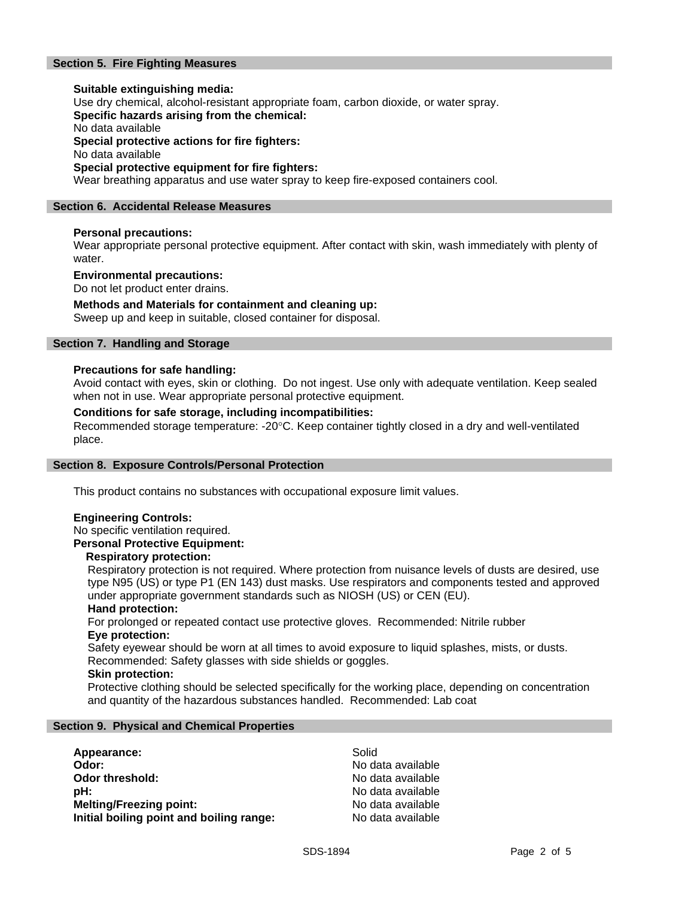# **Section 5. Fire Fighting Measures**

# **Suitable extinguishing media:** Use dry chemical, alcohol-resistant appropriate foam, carbon dioxide, or water spray. **Specific hazards arising from the chemical:** No data available **Special protective actions for fire fighters:** No data available **Special protective equipment for fire fighters:**

Wear breathing apparatus and use water spray to keep fire-exposed containers cool.

# **Section 6. Accidental Release Measures**

# **Personal precautions:**

Wear appropriate personal protective equipment. After contact with skin, wash immediately with plenty of water.

#### **Environmental precautions:**

Do not let product enter drains.

## **Methods and Materials for containment and cleaning up:**

Sweep up and keep in suitable, closed container for disposal.

# **Section 7. Handling and Storage**

## **Precautions for safe handling:**

Avoid contact with eyes, skin or clothing. Do not ingest. Use only with adequate ventilation. Keep sealed when not in use. Wear appropriate personal protective equipment.

## **Conditions for safe storage, including incompatibilities:**

Recommended storage temperature: -20°C. Keep container tightly closed in a dry and well-ventilated place.

#### **Section 8. Exposure Controls/Personal Protection**

This product contains no substances with occupational exposure limit values.

# **Engineering Controls:**

No specific ventilation required.

# **Personal Protective Equipment:**

#### **Respiratory protection:**

Respiratory protection is not required. Where protection from nuisance levels of dusts are desired, use type N95 (US) or type P1 (EN 143) dust masks. Use respirators and components tested and approved under appropriate government standards such as NIOSH (US) or CEN (EU).

#### **Hand protection:**

For prolonged or repeated contact use protective gloves. Recommended: Nitrile rubber **Eye protection:**

Safety eyewear should be worn at all times to avoid exposure to liquid splashes, mists, or dusts. Recommended: Safety glasses with side shields or goggles.

#### **Skin protection:**

Protective clothing should be selected specifically for the working place, depending on concentration and quantity of the hazardous substances handled. Recommended: Lab coat

## **Section 9. Physical and Chemical Properties**

| Appearance:                              | Solid             |
|------------------------------------------|-------------------|
| Odor:                                    | No data available |
| Odor threshold:                          | No data available |
| pH:                                      | No data available |
| <b>Melting/Freezing point:</b>           | No data available |
| Initial boiling point and boiling range: | No data available |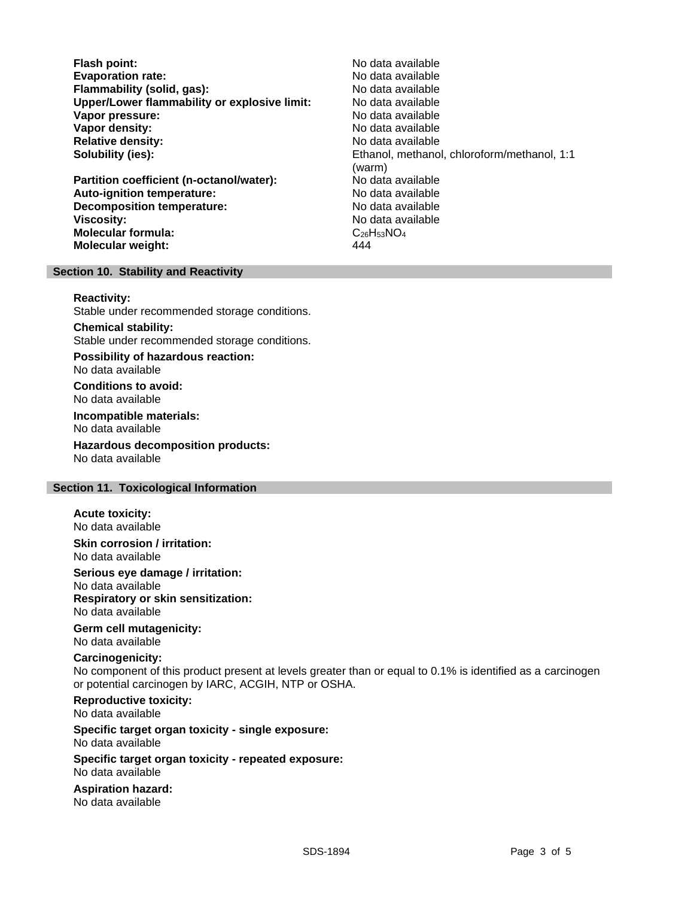**Flash point:** No data available **Evaporation rate:**<br> **Elammability (solid. gas):** No data available Nome and the North Alberta available **Flammability (solid, gas): Upper/Lower flammability or explosive limit:** No data available **Vapor pressure:** No data available **Vapor density:** No data available in the set of the set of the North Modata available **Relative density:** No data available **Solubility (ies):** Ethanol, methanol, chloroform/methanol, 1:1

**Partition coefficient (n-octanol/water):** No data available<br> **Auto-ignition temperature:** No data available **Auto-ignition temperature: Decomposition temperature:** No data available **Viscosity:** No data available **Molecular formula:** C<sub>26</sub>H<sub>53</sub>NO<sub>4</sub> **Molecular weight:** 444

(warm)

## **Section 10. Stability and Reactivity**

**Reactivity:**

Stable under recommended storage conditions.

#### **Chemical stability:**

Stable under recommended storage conditions.

**Possibility of hazardous reaction:** No data available

**Conditions to avoid:** No data available

**Incompatible materials:** No data available

**Hazardous decomposition products:** No data available

# **Section 11. Toxicological Information**

**Acute toxicity:** No data available

## **Skin corrosion / irritation:** No data available

**Serious eye damage / irritation:**

No data available **Respiratory or skin sensitization:** No data available

**Germ cell mutagenicity:** No data available

# **Carcinogenicity:**

No component of this product present at levels greater than or equal to 0.1% is identified as a carcinogen or potential carcinogen by IARC, ACGIH, NTP or OSHA.

# **Reproductive toxicity:**

No data available

#### **Specific target organ toxicity - single exposure:** No data available

**Specific target organ toxicity - repeated exposure:** No data available

**Aspiration hazard:** No data available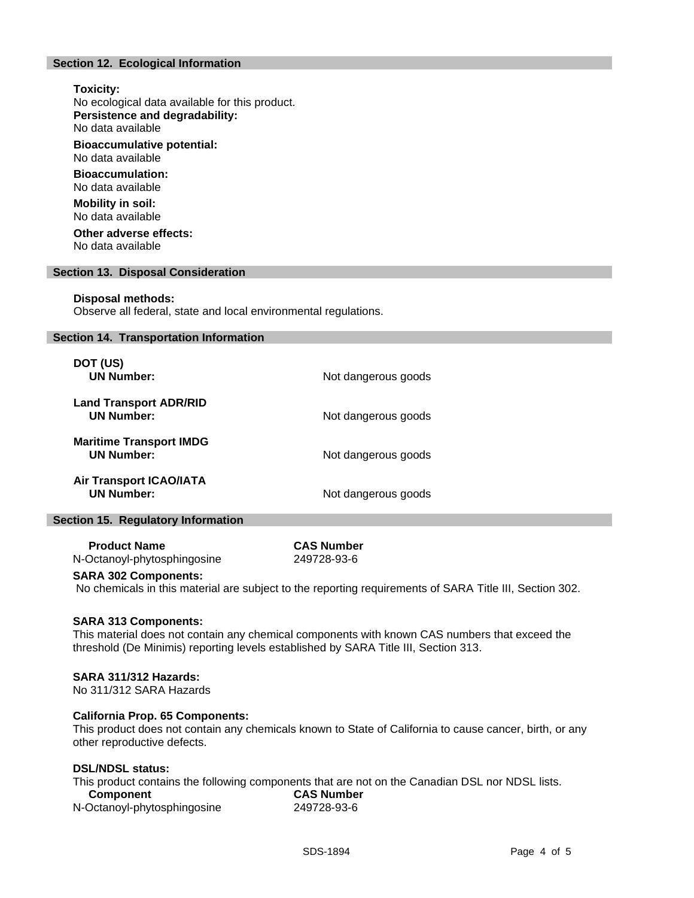# **Section 12. Ecological Information**

# **Toxicity:**

No ecological data available for this product. **Persistence and degradability:**

No data available

**Bioaccumulative potential:** No data available

**Bioaccumulation:** No data available

**Mobility in soil:** No data available

**Other adverse effects:** No data available

#### **Section 13. Disposal Consideration**

#### **Disposal methods:**

Observe all federal, state and local environmental regulations.

#### **Section 14. Transportation Information**

| DOT (US)<br><b>UN Number:</b>                       | Not dangerous goods |
|-----------------------------------------------------|---------------------|
| <b>Land Transport ADR/RID</b><br><b>UN Number:</b>  | Not dangerous goods |
| <b>Maritime Transport IMDG</b><br><b>UN Number:</b> | Not dangerous goods |
| <b>Air Transport ICAO/IATA</b><br><b>UN Number:</b> | Not dangerous goods |

## **Section 15. Regulatory Information**

 **Product Name CAS Number** N-Octanoyl-phytosphingosine 249728-93-6

# **SARA 302 Components:**

No chemicals in this material are subject to the reporting requirements of SARA Title III, Section 302.

#### **SARA 313 Components:**

This material does not contain any chemical components with known CAS numbers that exceed the threshold (De Minimis) reporting levels established by SARA Title III, Section 313.

## **SARA 311/312 Hazards:**

No 311/312 SARA Hazards

#### **California Prop. 65 Components:**

This product does not contain any chemicals known to State of California to cause cancer, birth, or any other reproductive defects.

### **DSL/NDSL status:**

This product contains the following components that are not on the Canadian DSL nor NDSL lists.

| Component                   | <b>CAS Number</b> |  |
|-----------------------------|-------------------|--|
| N-Octanoyl-phytosphingosine | 249728-93-6       |  |